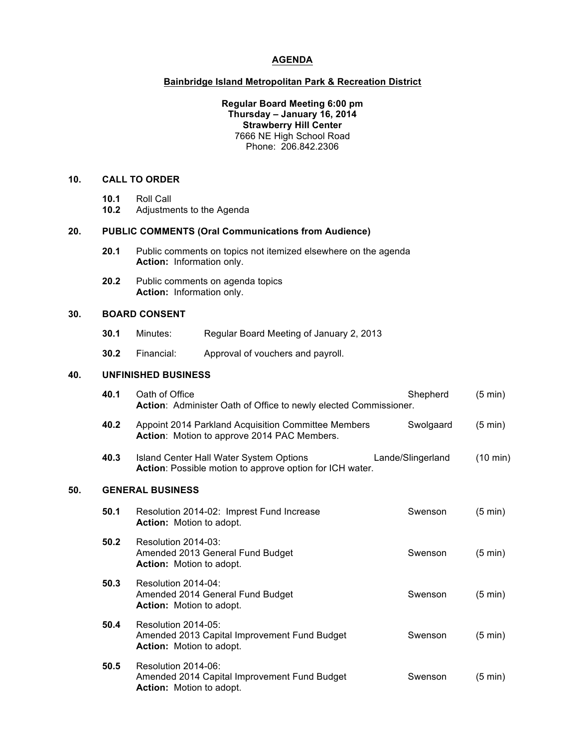# **AGENDA**

## **Bainbridge Island Metropolitan Park & Recreation District**

#### **Regular Board Meeting 6:00 pm Thursday – January 16, 2014 Strawberry Hill Center** 7666 NE High School Road Phone: 206.842.2306

## **10. CALL TO ORDER**

- **10.1** Roll Call
- **10.2** Adjustments to the Agenda

#### **20. PUBLIC COMMENTS (Oral Communications from Audience)**

- **20.1** Public comments on topics not itemized elsewhere on the agenda **Action:** Information only.
- **20.2** Public comments on agenda topics **Action:** Information only.

# **30. BOARD CONSENT**

- **30.1** Minutes: Regular Board Meeting of January 2, 2013
- **30.2** Financial: Approval of vouchers and payroll.

## **40. UNFINISHED BUSINESS**

|     | 40.1 | Oath of Office<br>Action: Administer Oath of Office to newly elected Commissioner.                     | Shepherd          | $(5 \text{ min})$  |  |  |
|-----|------|--------------------------------------------------------------------------------------------------------|-------------------|--------------------|--|--|
|     | 40.2 | Appoint 2014 Parkland Acquisition Committee Members<br>Action: Motion to approve 2014 PAC Members.     | Swolgaard         | $(5 \text{ min})$  |  |  |
|     | 40.3 | Island Center Hall Water System Options<br>Action: Possible motion to approve option for ICH water.    | Lande/Slingerland | $(10 \text{ min})$ |  |  |
| 50. |      | <b>GENERAL BUSINESS</b>                                                                                |                   |                    |  |  |
|     | 50.1 | Resolution 2014-02: Imprest Fund Increase<br>Action: Motion to adopt.                                  | Swenson           | $(5 \text{ min})$  |  |  |
|     | 50.2 | Resolution 2014-03:<br>Amended 2013 General Fund Budget<br><b>Action:</b> Motion to adopt.             | Swenson           | $(5 \text{ min})$  |  |  |
|     | 50.3 | Resolution 2014-04:<br>Amended 2014 General Fund Budget<br><b>Action:</b> Motion to adopt.             | Swenson           | $(5 \text{ min})$  |  |  |
|     | 50.4 | Resolution 2014-05:<br>Amended 2013 Capital Improvement Fund Budget<br><b>Action:</b> Motion to adopt. | Swenson           | $(5 \text{ min})$  |  |  |
|     | 50.5 | Resolution 2014-06:<br>Amended 2014 Capital Improvement Fund Budget<br><b>Action:</b> Motion to adopt. | Swenson           | $(5 \text{ min})$  |  |  |